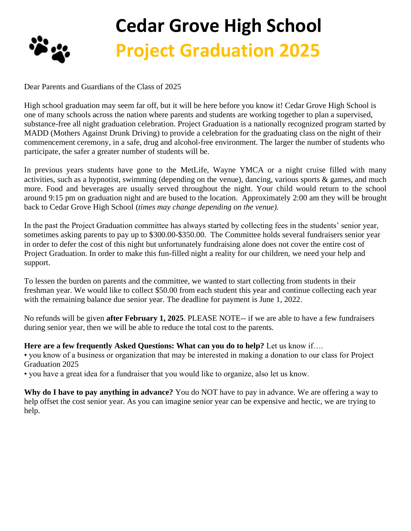

## **Cedar Grove High School Project Graduation 2025**

Dear Parents and Guardians of the Class of 2025

High school graduation may seem far off, but it will be here before you know it! Cedar Grove High School is one of many schools across the nation where parents and students are working together to plan a supervised, substance-free all night graduation celebration. Project Graduation is a nationally recognized program started by MADD (Mothers Against Drunk Driving) to provide a celebration for the graduating class on the night of their commencement ceremony, in a safe, drug and alcohol-free environment. The larger the number of students who participate, the safer a greater number of students will be.

In previous years students have gone to the MetLife, Wayne YMCA or a night cruise filled with many activities, such as a hypnotist, swimming (depending on the venue), dancing, various sports & games, and much more. Food and beverages are usually served throughout the night. Your child would return to the school around 9:15 pm on graduation night and are bused to the location. Approximately 2:00 am they will be brought back to Cedar Grove High School (*times may change depending on the venue).*

In the past the Project Graduation committee has always started by collecting fees in the students' senior year, sometimes asking parents to pay up to \$300.00-\$350.00. The Committee holds several fundraisers senior year in order to defer the cost of this night but unfortunately fundraising alone does not cover the entire cost of Project Graduation. In order to make this fun-filled night a reality for our children, we need your help and support.

To lessen the burden on parents and the committee, we wanted to start collecting from students in their freshman year. We would like to collect \$50.00 from each student this year and continue collecting each year with the remaining balance due senior year. The deadline for payment is June 1, 2022.

No refunds will be given **after February 1, 2025**. PLEASE NOTE-- if we are able to have a few fundraisers during senior year, then we will be able to reduce the total cost to the parents.

## **Here are a few frequently Asked Questions: What can you do to help?** Let us know if….

• you know of a business or organization that may be interested in making a donation to our class for Project Graduation 2025

• you have a great idea for a fundraiser that you would like to organize, also let us know.

**Why do I have to pay anything in advance?** You do NOT have to pay in advance. We are offering a way to help offset the cost senior year. As you can imagine senior year can be expensive and hectic, we are trying to help.